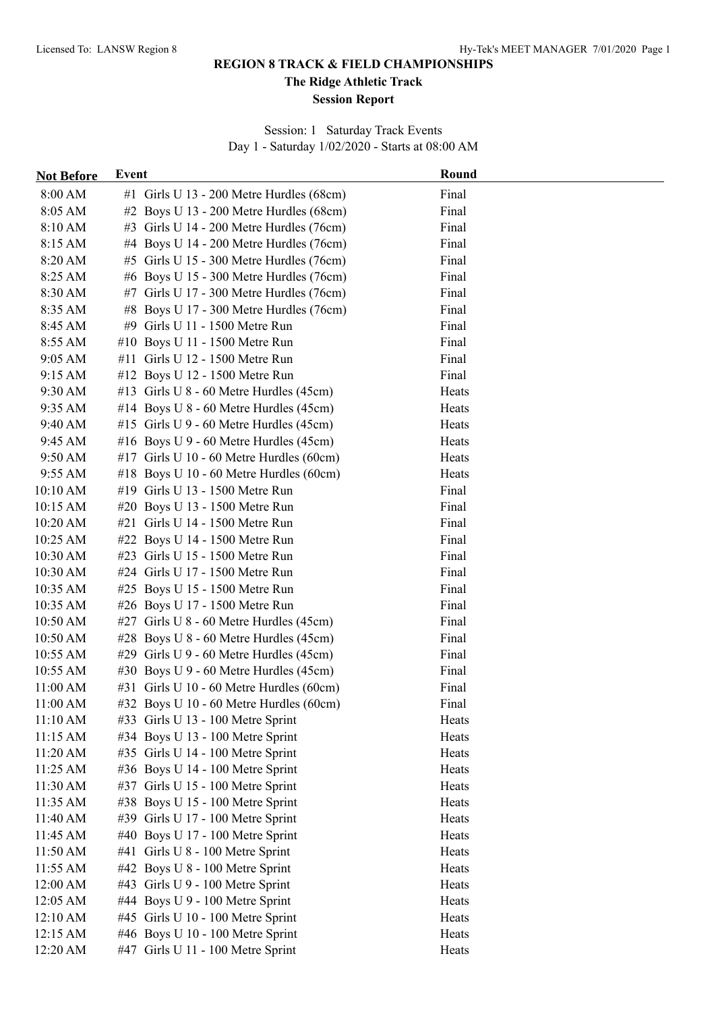**The Ridge Athletic Track**

#### **Session Report**

Session: 1 Saturday Track Events Day 1 - Saturday 1/02/2020 - Starts at 08:00 AM

| <b>Not Before</b> | Event                                     | Round |
|-------------------|-------------------------------------------|-------|
| 8:00 AM           | #1 Girls U 13 - 200 Metre Hurdles (68cm)  | Final |
| 8:05 AM           | $#2$ Boys U 13 - 200 Metre Hurdles (68cm) | Final |
| 8:10 AM           | #3 Girls U 14 - 200 Metre Hurdles (76cm)  | Final |
| 8:15 AM           | #4 Boys U 14 - 200 Metre Hurdles (76cm)   | Final |
| 8:20 AM           | #5 Girls U 15 - 300 Metre Hurdles (76cm)  | Final |
| 8:25 AM           | #6 Boys U 15 - 300 Metre Hurdles (76cm)   | Final |
| 8:30 AM           | #7 Girls U 17 - 300 Metre Hurdles (76cm)  | Final |
| 8:35 AM           | #8 Boys U 17 - 300 Metre Hurdles (76cm)   | Final |
| 8:45 AM           | #9 Girls U 11 - 1500 Metre Run            | Final |
| 8:55 AM           | #10 Boys U 11 - 1500 Metre Run            | Final |
| $9:05 \text{ AM}$ | #11 Girls U 12 - 1500 Metre Run           | Final |
| 9:15 AM           | #12 Boys U 12 - 1500 Metre Run            | Final |
| 9:30 AM           | #13 Girls U 8 - 60 Metre Hurdles (45cm)   | Heats |
| 9:35 AM           | #14 Boys U $8 - 60$ Metre Hurdles (45cm)  | Heats |
| 9:40 AM           | #15 Girls U 9 - 60 Metre Hurdles (45cm)   | Heats |
| 9:45 AM           | #16 Boys U $9 - 60$ Metre Hurdles (45cm)  | Heats |
| 9:50 AM           | #17 Girls U 10 - 60 Metre Hurdles (60cm)  | Heats |
| 9:55 AM           | #18 Boys U 10 - 60 Metre Hurdles (60cm)   | Heats |
| 10:10 AM          | #19 Girls U 13 - 1500 Metre Run           | Final |
| 10:15 AM          | #20 Boys U 13 - 1500 Metre Run            | Final |
| 10:20 AM          | #21 Girls U 14 - 1500 Metre Run           | Final |
| 10:25 AM          | #22 Boys U 14 - 1500 Metre Run            | Final |
| 10:30 AM          | #23 Girls U 15 - 1500 Metre Run           | Final |
| 10:30 AM          | #24 Girls U 17 - 1500 Metre Run           | Final |
| 10:35 AM          | #25 Boys U 15 - 1500 Metre Run            | Final |
| 10:35 AM          | #26 Boys U 17 - 1500 Metre Run            | Final |
| 10:50 AM          | #27 Girls U 8 - 60 Metre Hurdles (45cm)   | Final |
| 10:50 AM          | #28 Boys U $8 - 60$ Metre Hurdles (45cm)  | Final |
| 10:55 AM          | #29 Girls U 9 - 60 Metre Hurdles (45cm)   | Final |
| 10:55 AM          | #30 Boys U $9 - 60$ Metre Hurdles (45cm)  | Final |
| 11:00 AM          | #31 Girls U 10 - 60 Metre Hurdles (60cm)  | Final |
| 11:00 AM          | #32 Boys U 10 - 60 Metre Hurdles (60cm)   | Final |
| 11:10 AM          | #33 Girls U 13 - 100 Metre Sprint         | Heats |
| 11:15 AM          | #34 Boys U 13 - 100 Metre Sprint          | Heats |
| 11:20 AM          | #35 Girls U 14 - 100 Metre Sprint         | Heats |
| 11:25 AM          | #36 Boys U 14 - 100 Metre Sprint          | Heats |
| 11:30 AM          | #37 Girls U 15 - 100 Metre Sprint         | Heats |
| 11:35 AM          | #38 Boys U 15 - 100 Metre Sprint          | Heats |
| 11:40 AM          | #39 Girls U 17 - 100 Metre Sprint         | Heats |
| 11:45 AM          | #40 Boys U 17 - 100 Metre Sprint          | Heats |
| 11:50 AM          | #41 Girls U 8 - 100 Metre Sprint          | Heats |
| 11:55 AM          | #42 Boys U 8 - 100 Metre Sprint           | Heats |
| 12:00 AM          | #43 Girls U 9 - 100 Metre Sprint          | Heats |
| 12:05 AM          | #44 Boys U 9 - 100 Metre Sprint           | Heats |
| 12:10 AM          | #45 Girls U 10 - 100 Metre Sprint         | Heats |
| 12:15 AM          | #46 Boys U 10 - 100 Metre Sprint          | Heats |
| 12:20 AM          | #47 Girls U 11 - 100 Metre Sprint         | Heats |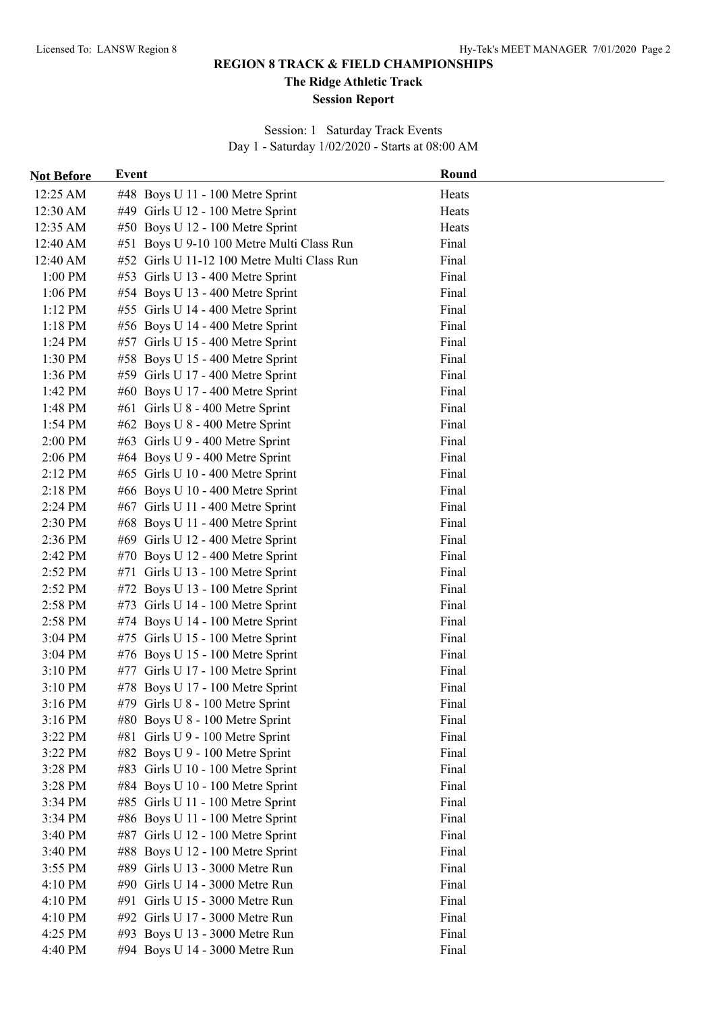**The Ridge Athletic Track**

#### **Session Report**

Session: 1 Saturday Track Events Day 1 - Saturday 1/02/2020 - Starts at 08:00 AM

| <b>Not Before</b> | <b>Event</b>                                | Round |
|-------------------|---------------------------------------------|-------|
| 12:25 AM          | #48 Boys U 11 - 100 Metre Sprint            | Heats |
| 12:30 AM          | #49 Girls U 12 - 100 Metre Sprint           | Heats |
| 12:35 AM          | #50 Boys U 12 - 100 Metre Sprint            | Heats |
| 12:40 AM          | #51 Boys U 9-10 100 Metre Multi Class Run   | Final |
| 12:40 AM          | #52 Girls U 11-12 100 Metre Multi Class Run | Final |
| 1:00 PM           | #53 Girls U 13 - 400 Metre Sprint           | Final |
| 1:06 PM           | #54 Boys U 13 - 400 Metre Sprint            | Final |
| $1:12$ PM         | #55 Girls U 14 - 400 Metre Sprint           | Final |
| 1:18 PM           | #56 Boys U 14 - 400 Metre Sprint            | Final |
| 1:24 PM           | #57 Girls U 15 - 400 Metre Sprint           | Final |
| 1:30 PM           | #58 Boys U 15 - 400 Metre Sprint            | Final |
| 1:36 PM           | #59 Girls U 17 - 400 Metre Sprint           | Final |
| 1:42 PM           | #60 Boys U 17 - 400 Metre Sprint            | Final |
| 1:48 PM           | #61 Girls U 8 - 400 Metre Sprint            | Final |
| 1:54 PM           | #62 Boys U 8 - 400 Metre Sprint             | Final |
| 2:00 PM           | #63 Girls U 9 - 400 Metre Sprint            | Final |
| 2:06 PM           | #64 Boys U 9 - 400 Metre Sprint             | Final |
| 2:12 PM           | #65 Girls U 10 - 400 Metre Sprint           | Final |
| 2:18 PM           | #66 Boys U 10 - 400 Metre Sprint            | Final |
| 2:24 PM           | #67 Girls U 11 - 400 Metre Sprint           | Final |
| 2:30 PM           | #68 Boys U 11 - 400 Metre Sprint            | Final |
| 2:36 PM           | #69 Girls U 12 - 400 Metre Sprint           | Final |
| 2:42 PM           | #70 Boys U 12 - 400 Metre Sprint            | Final |
| 2:52 PM           | #71 Girls U 13 - 100 Metre Sprint           | Final |
| 2:52 PM           | #72 Boys U 13 - 100 Metre Sprint            | Final |
| 2:58 PM           | #73 Girls U 14 - 100 Metre Sprint           | Final |
| 2:58 PM           | #74 Boys U 14 - 100 Metre Sprint            | Final |
| 3:04 PM           | #75 Girls U 15 - 100 Metre Sprint           | Final |
| 3:04 PM           | #76 Boys U 15 - 100 Metre Sprint            | Final |
| 3:10 PM           | #77 Girls U 17 - 100 Metre Sprint           | Final |
| 3:10 PM           | #78 Boys U 17 - 100 Metre Sprint            | Final |
| 3:16 PM           | $#79$ Girls U $8 - 100$ Metre Sprint        | Final |
| 3:16 PM           | #80 Boys U 8 - 100 Metre Sprint             | Final |
| 3:22 PM           | #81 Girls U 9 - 100 Metre Sprint            | Final |
| 3:22 PM           | #82 Boys U 9 - 100 Metre Sprint             | Final |
| 3:28 PM           | #83 Girls U 10 - 100 Metre Sprint           | Final |
| 3:28 PM           | #84 Boys U 10 - 100 Metre Sprint            | Final |
| 3:34 PM           | #85 Girls U 11 - 100 Metre Sprint           | Final |
| 3:34 PM           | #86 Boys U 11 - 100 Metre Sprint            | Final |
| 3:40 PM           | #87 Girls U 12 - 100 Metre Sprint           | Final |
| 3:40 PM           | #88 Boys U 12 - 100 Metre Sprint            | Final |
| 3:55 PM           | #89 Girls U 13 - 3000 Metre Run             | Final |
| 4:10 PM           | #90 Girls U 14 - 3000 Metre Run             | Final |
| 4:10 PM           | #91 Girls U 15 - 3000 Metre Run             | Final |
| 4:10 PM           | #92 Girls U 17 - 3000 Metre Run             | Final |
| 4:25 PM           | #93 Boys U 13 - 3000 Metre Run              | Final |
| 4:40 PM           | #94 Boys U 14 - 3000 Metre Run              | Final |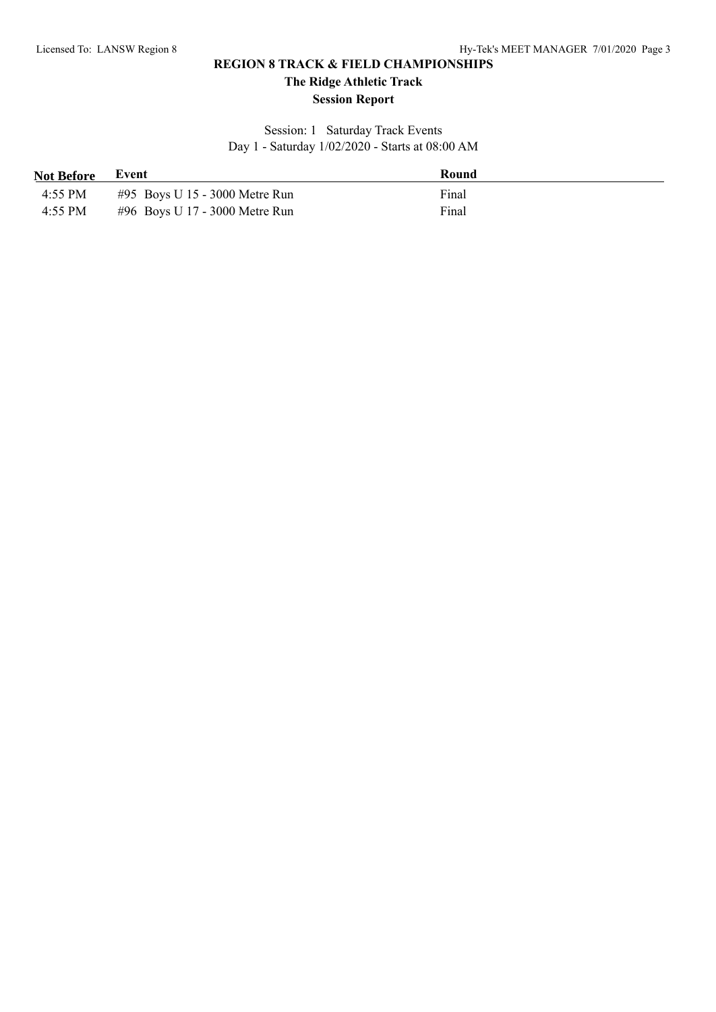**The Ridge Athletic Track**

#### **Session Report**

Session: 1 Saturday Track Events Day 1 - Saturday 1/02/2020 - Starts at 08:00 AM

| <b>Not Before</b> | Event                          | Round |
|-------------------|--------------------------------|-------|
| 4:55 PM           | #95 Boys U 15 - 3000 Metre Run | Final |
| 4:55 PM           | #96 Boys U 17 - 3000 Metre Run | Final |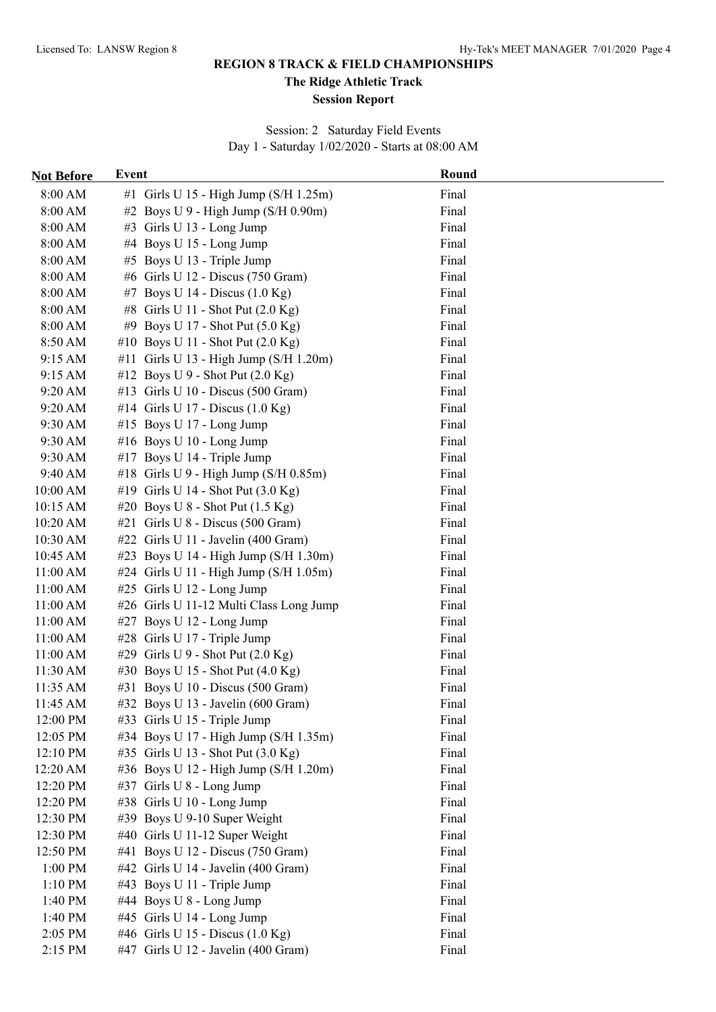**The Ridge Athletic Track**

#### **Session Report**

Session: 2 Saturday Field Events Day 1 - Saturday 1/02/2020 - Starts at 08:00 AM

| <b>Not Before</b> | Event                                        | Round |
|-------------------|----------------------------------------------|-------|
| 8:00 AM           | #1 Girls U 15 - High Jump ( $S/H$ 1.25m)     | Final |
| 8:00 AM           | #2 Boys U 9 - High Jump (S/H 0.90m)          | Final |
| 8:00 AM           | #3 Girls U 13 - Long Jump                    | Final |
| 8:00 AM           | #4 Boys U 15 - Long Jump                     | Final |
| 8:00 AM           | #5 Boys U 13 - Triple Jump                   | Final |
| 8:00 AM           | #6 Girls U 12 - Discus (750 Gram)            | Final |
| 8:00 AM           | #7 Boys U 14 - Discus $(1.0 \text{ Kg})$     | Final |
| 8:00 AM           | #8 Girls U 11 - Shot Put (2.0 Kg)            | Final |
| 8:00 AM           | #9 Boys U 17 - Shot Put (5.0 Kg)             | Final |
| 8:50 AM           | #10 Boys U 11 - Shot Put (2.0 Kg)            | Final |
| 9:15 AM           | #11 Girls U 13 - High Jump (S/H 1.20m)       | Final |
| 9:15 AM           | #12 Boys U 9 - Shot Put $(2.0 \text{ Kg})$   | Final |
| 9:20 AM           | #13 Girls U 10 - Discus (500 Gram)           | Final |
| 9:20 AM           | #14 Girls U 17 - Discus $(1.0 \text{ Kg})$   | Final |
| 9:30 AM           | #15 Boys U 17 - Long Jump                    | Final |
| 9:30 AM           | #16 Boys U 10 - Long Jump                    | Final |
| 9:30 AM           | #17 Boys U 14 - Triple Jump                  | Final |
| 9:40 AM           | #18 Girls U 9 - High Jump (S/H 0.85m)        | Final |
| 10:00 AM          | #19 Girls U 14 - Shot Put (3.0 Kg)           | Final |
| 10:15 AM          | #20 Boys U $8$ - Shot Put $(1.5 \text{ Kg})$ | Final |
| 10:20 AM          | #21 Girls U 8 - Discus (500 Gram)            | Final |
| 10:30 AM          | #22 Girls U 11 - Javelin (400 Gram)          | Final |
| 10:45 AM          | #23 Boys U 14 - High Jump (S/H 1.30m)        | Final |
| 11:00 AM          | #24 Girls U 11 - High Jump (S/H 1.05m)       | Final |
| 11:00 AM          | #25 Girls U 12 - Long Jump                   | Final |
| 11:00 AM          | #26 Girls U 11-12 Multi Class Long Jump      | Final |
| 11:00 AM          | #27 Boys U 12 - Long Jump                    | Final |
| 11:00 AM          | #28 Girls U 17 - Triple Jump                 | Final |
| 11:00 AM          | #29 Girls U 9 - Shot Put $(2.0 \text{ Kg})$  | Final |
| 11:30 AM          | #30 Boys U 15 - Shot Put (4.0 Kg)            | Final |
| 11:35 AM          | #31 Boys U 10 - Discus (500 Gram)            | Final |
| 11:45 AM          | #32 Boys U 13 - Javelin $(600 \text{ Gram})$ | Final |
| 12:00 PM          | #33 Girls U 15 - Triple Jump                 | Final |
| 12:05 PM          | #34 Boys U 17 - High Jump (S/H 1.35m)        | Final |
| 12:10 PM          | #35 Girls U 13 - Shot Put (3.0 Kg)           | Final |
| 12:20 AM          | #36 Boys U 12 - High Jump (S/H 1.20m)        | Final |
| 12:20 PM          | #37 Girls U 8 - Long Jump                    | Final |
| 12:20 PM          | #38 Girls U 10 - Long Jump                   | Final |
| 12:30 PM          | #39 Boys U 9-10 Super Weight                 | Final |
| 12:30 PM          | #40 Girls U 11-12 Super Weight               | Final |
| 12:50 PM          | #41 Boys U 12 - Discus (750 Gram)            | Final |
| 1:00 PM           | #42 Girls U 14 - Javelin (400 Gram)          | Final |
| 1:10 PM           | #43 Boys U 11 - Triple Jump                  | Final |
| 1:40 PM           | #44 Boys U 8 - Long Jump                     | Final |
| 1:40 PM           | #45 Girls U 14 - Long Jump                   | Final |
| 2:05 PM           | #46 Girls U 15 - Discus (1.0 Kg)             | Final |
| 2:15 PM           | #47 Girls U 12 - Javelin (400 Gram)          | Final |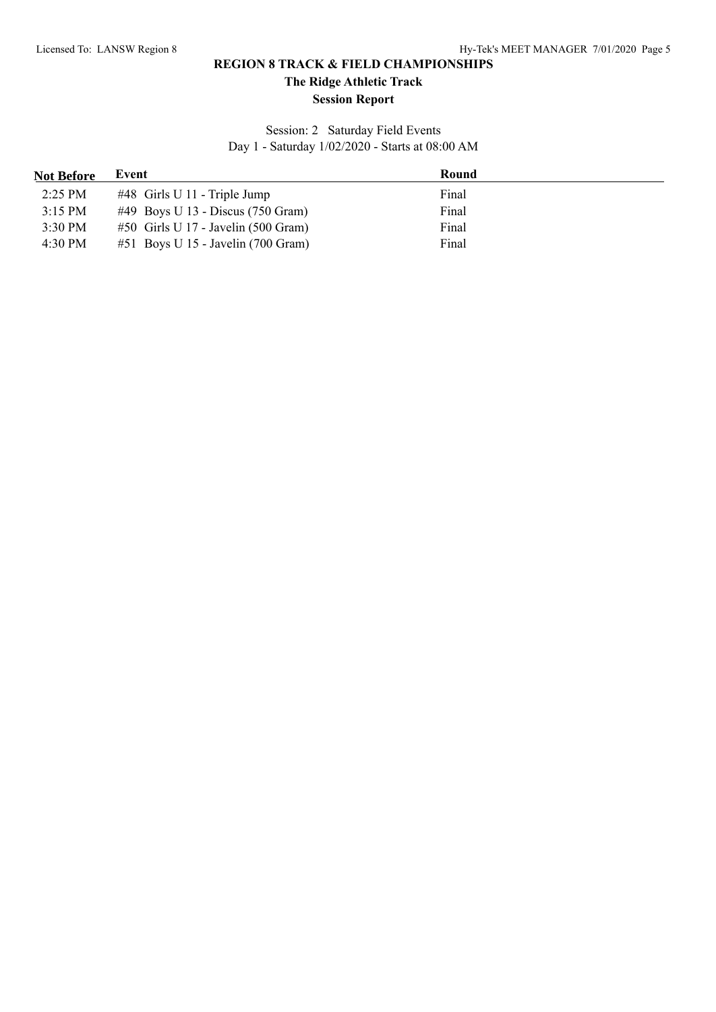**The Ridge Athletic Track**

#### **Session Report**

Session: 2 Saturday Field Events Day 1 - Saturday 1/02/2020 - Starts at 08:00 AM

| <b>Not Before</b> | Event                                       | Round |
|-------------------|---------------------------------------------|-------|
| $2:25$ PM         | $\#48$ Girls U 11 - Triple Jump             | Final |
| $3:15$ PM         | #49 Boys U 13 - Discus $(750 \text{ Gram})$ | Final |
| $3:30$ PM         | $#50$ Girls U 17 - Javelin (500 Gram)       | Final |
| $4:30 \text{ PM}$ | $#51$ Boys U 15 - Javelin (700 Gram)        | Final |
|                   |                                             |       |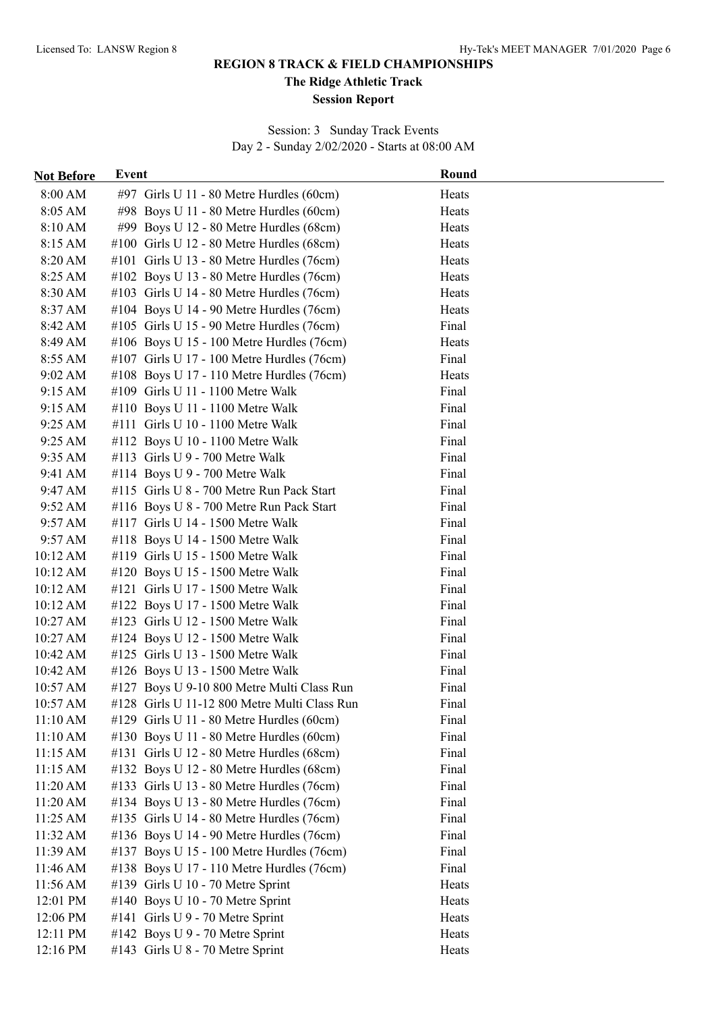**The Ridge Athletic Track**

#### **Session Report**

Session: 3 Sunday Track Events Day 2 - Sunday 2/02/2020 - Starts at 08:00 AM

| 8:00 AM<br>#97 Girls U 11 - 80 Metre Hurdles (60cm)<br>Heats<br>8:05 AM<br>Heats<br>#98 Boys U 11 - 80 Metre Hurdles (60cm)<br>8:10 AM<br>#99 Boys U $12 - 80$ Metre Hurdles (68cm)<br>Heats<br>8:15 AM<br>#100 Girls U 12 - 80 Metre Hurdles (68cm)<br>Heats<br>8:20 AM<br>#101 Girls U 13 - 80 Metre Hurdles (76cm)<br>Heats<br>8:25 AM<br>#102 Boys U 13 - 80 Metre Hurdles (76cm)<br>Heats<br>8:30 AM<br>#103 Girls U 14 - 80 Metre Hurdles (76cm)<br>Heats<br>8:37 AM<br>#104 Boys U 14 - 90 Metre Hurdles (76cm)<br>Heats<br>#105 Girls U 15 - 90 Metre Hurdles (76cm)<br>Final<br>8:42 AM<br>8:49 AM<br>#106 Boys U 15 - 100 Metre Hurdles (76cm)<br>Heats<br>Final<br>8:55 AM<br>#107 Girls U 17 - 100 Metre Hurdles (76cm)<br>9:02 AM<br>Heats<br>#108 Boys U 17 - 110 Metre Hurdles (76cm)<br>9:15 AM<br>#109 Girls U 11 - 1100 Metre Walk<br>Final<br>Final<br>9:15 AM<br>#110 Boys U 11 - 1100 Metre Walk<br>Final<br>9:25 AM<br>#111 Girls U 10 - 1100 Metre Walk<br>Final<br>9:25 AM<br>#112 Boys U 10 - 1100 Metre Walk<br>9:35 AM<br>#113 Girls $U$ 9 - 700 Metre Walk<br>Final<br>Final<br>9:41 AM<br>#114 Boys U $9 - 700$ Metre Walk<br>#115 Girls U 8 - 700 Metre Run Pack Start<br>Final<br>9:47 AM<br>Final<br>9:52 AM<br>#116 Boys U 8 - 700 Metre Run Pack Start<br>Final<br>9:57 AM<br>#117 Girls U 14 - 1500 Metre Walk<br>Final<br>9:57 AM<br>#118 Boys U 14 - 1500 Metre Walk<br>Final<br>10:12 AM<br>#119 Girls U 15 - 1500 Metre Walk<br>Final<br>10:12 AM<br>#120 Boys U 15 - 1500 Metre Walk<br>10:12 AM<br>Final<br>#121 Girls U 17 - 1500 Metre Walk<br>Final<br>10:12 AM<br>#122 Boys U 17 - 1500 Metre Walk<br>Final<br>10:27 AM<br>#123 Girls U 12 - 1500 Metre Walk<br>10:27 AM<br>#124 Boys U 12 - 1500 Metre Walk<br>Final<br>Final<br>10:42 AM<br>#125 Girls U 13 - 1500 Metre Walk<br>Final<br>10:42 AM<br>#126 Boys U 13 - 1500 Metre Walk<br>Final<br>10:57 AM<br>#127 Boys U 9-10 800 Metre Multi Class Run<br>$10:57 \text{ AM}$<br>#128 Girls U 11-12 800 Metre Multi Class Run<br>Final<br>#129 Girls U 11 - 80 Metre Hurdles (60cm)<br>11:10 AM<br>Final<br>Final<br>11:10 AM<br>#130 Boys U 11 - 80 Metre Hurdles (60cm)<br>#131 Girls U 12 - 80 Metre Hurdles (68cm)<br>11:15 AM<br>Final<br>#132 Boys U 12 - 80 Metre Hurdles (68cm)<br>Final<br>11:15 AM<br>Final<br>11:20 AM<br>#133 Girls U 13 - 80 Metre Hurdles (76cm)<br>Final<br>11:20 AM<br>#134 Boys U 13 - 80 Metre Hurdles (76cm)<br>Final<br>11:25 AM<br>#135 Girls U 14 - 80 Metre Hurdles (76cm)<br>Final<br>#136 Boys U 14 - 90 Metre Hurdles (76cm)<br>11:32 AM<br>Final<br>11:39 AM<br>#137 Boys U 15 - 100 Metre Hurdles (76cm)<br>11:46 AM<br>#138 Boys U 17 - 110 Metre Hurdles (76cm)<br>Final<br>11:56 AM<br>#139 Girls U 10 - 70 Metre Sprint<br>Heats<br>12:01 PM<br>#140 Boys U 10 - 70 Metre Sprint<br>Heats<br>#141 Girls U 9 - 70 Metre Sprint<br>12:06 PM<br>Heats<br>#142 Boys U 9 - 70 Metre Sprint<br>12:11 PM<br>Heats<br>12:16 PM<br>#143 Girls U 8 - 70 Metre Sprint<br>Heats | <b>Not Before</b> | Event | Round |
|----------------------------------------------------------------------------------------------------------------------------------------------------------------------------------------------------------------------------------------------------------------------------------------------------------------------------------------------------------------------------------------------------------------------------------------------------------------------------------------------------------------------------------------------------------------------------------------------------------------------------------------------------------------------------------------------------------------------------------------------------------------------------------------------------------------------------------------------------------------------------------------------------------------------------------------------------------------------------------------------------------------------------------------------------------------------------------------------------------------------------------------------------------------------------------------------------------------------------------------------------------------------------------------------------------------------------------------------------------------------------------------------------------------------------------------------------------------------------------------------------------------------------------------------------------------------------------------------------------------------------------------------------------------------------------------------------------------------------------------------------------------------------------------------------------------------------------------------------------------------------------------------------------------------------------------------------------------------------------------------------------------------------------------------------------------------------------------------------------------------------------------------------------------------------------------------------------------------------------------------------------------------------------------------------------------------------------------------------------------------------------------------------------------------------------------------------------------------------------------------------------------------------------------------------------------------------------------------------------------------------------------------------------------------------------------------------------------------------------------------------------------------------------------------------------------------------------------------------------------------------------------------------------------------------------------------------------------------------------------------------------------------|-------------------|-------|-------|
|                                                                                                                                                                                                                                                                                                                                                                                                                                                                                                                                                                                                                                                                                                                                                                                                                                                                                                                                                                                                                                                                                                                                                                                                                                                                                                                                                                                                                                                                                                                                                                                                                                                                                                                                                                                                                                                                                                                                                                                                                                                                                                                                                                                                                                                                                                                                                                                                                                                                                                                                                                                                                                                                                                                                                                                                                                                                                                                                                                                                                      |                   |       |       |
|                                                                                                                                                                                                                                                                                                                                                                                                                                                                                                                                                                                                                                                                                                                                                                                                                                                                                                                                                                                                                                                                                                                                                                                                                                                                                                                                                                                                                                                                                                                                                                                                                                                                                                                                                                                                                                                                                                                                                                                                                                                                                                                                                                                                                                                                                                                                                                                                                                                                                                                                                                                                                                                                                                                                                                                                                                                                                                                                                                                                                      |                   |       |       |
|                                                                                                                                                                                                                                                                                                                                                                                                                                                                                                                                                                                                                                                                                                                                                                                                                                                                                                                                                                                                                                                                                                                                                                                                                                                                                                                                                                                                                                                                                                                                                                                                                                                                                                                                                                                                                                                                                                                                                                                                                                                                                                                                                                                                                                                                                                                                                                                                                                                                                                                                                                                                                                                                                                                                                                                                                                                                                                                                                                                                                      |                   |       |       |
|                                                                                                                                                                                                                                                                                                                                                                                                                                                                                                                                                                                                                                                                                                                                                                                                                                                                                                                                                                                                                                                                                                                                                                                                                                                                                                                                                                                                                                                                                                                                                                                                                                                                                                                                                                                                                                                                                                                                                                                                                                                                                                                                                                                                                                                                                                                                                                                                                                                                                                                                                                                                                                                                                                                                                                                                                                                                                                                                                                                                                      |                   |       |       |
|                                                                                                                                                                                                                                                                                                                                                                                                                                                                                                                                                                                                                                                                                                                                                                                                                                                                                                                                                                                                                                                                                                                                                                                                                                                                                                                                                                                                                                                                                                                                                                                                                                                                                                                                                                                                                                                                                                                                                                                                                                                                                                                                                                                                                                                                                                                                                                                                                                                                                                                                                                                                                                                                                                                                                                                                                                                                                                                                                                                                                      |                   |       |       |
|                                                                                                                                                                                                                                                                                                                                                                                                                                                                                                                                                                                                                                                                                                                                                                                                                                                                                                                                                                                                                                                                                                                                                                                                                                                                                                                                                                                                                                                                                                                                                                                                                                                                                                                                                                                                                                                                                                                                                                                                                                                                                                                                                                                                                                                                                                                                                                                                                                                                                                                                                                                                                                                                                                                                                                                                                                                                                                                                                                                                                      |                   |       |       |
|                                                                                                                                                                                                                                                                                                                                                                                                                                                                                                                                                                                                                                                                                                                                                                                                                                                                                                                                                                                                                                                                                                                                                                                                                                                                                                                                                                                                                                                                                                                                                                                                                                                                                                                                                                                                                                                                                                                                                                                                                                                                                                                                                                                                                                                                                                                                                                                                                                                                                                                                                                                                                                                                                                                                                                                                                                                                                                                                                                                                                      |                   |       |       |
|                                                                                                                                                                                                                                                                                                                                                                                                                                                                                                                                                                                                                                                                                                                                                                                                                                                                                                                                                                                                                                                                                                                                                                                                                                                                                                                                                                                                                                                                                                                                                                                                                                                                                                                                                                                                                                                                                                                                                                                                                                                                                                                                                                                                                                                                                                                                                                                                                                                                                                                                                                                                                                                                                                                                                                                                                                                                                                                                                                                                                      |                   |       |       |
|                                                                                                                                                                                                                                                                                                                                                                                                                                                                                                                                                                                                                                                                                                                                                                                                                                                                                                                                                                                                                                                                                                                                                                                                                                                                                                                                                                                                                                                                                                                                                                                                                                                                                                                                                                                                                                                                                                                                                                                                                                                                                                                                                                                                                                                                                                                                                                                                                                                                                                                                                                                                                                                                                                                                                                                                                                                                                                                                                                                                                      |                   |       |       |
|                                                                                                                                                                                                                                                                                                                                                                                                                                                                                                                                                                                                                                                                                                                                                                                                                                                                                                                                                                                                                                                                                                                                                                                                                                                                                                                                                                                                                                                                                                                                                                                                                                                                                                                                                                                                                                                                                                                                                                                                                                                                                                                                                                                                                                                                                                                                                                                                                                                                                                                                                                                                                                                                                                                                                                                                                                                                                                                                                                                                                      |                   |       |       |
|                                                                                                                                                                                                                                                                                                                                                                                                                                                                                                                                                                                                                                                                                                                                                                                                                                                                                                                                                                                                                                                                                                                                                                                                                                                                                                                                                                                                                                                                                                                                                                                                                                                                                                                                                                                                                                                                                                                                                                                                                                                                                                                                                                                                                                                                                                                                                                                                                                                                                                                                                                                                                                                                                                                                                                                                                                                                                                                                                                                                                      |                   |       |       |
|                                                                                                                                                                                                                                                                                                                                                                                                                                                                                                                                                                                                                                                                                                                                                                                                                                                                                                                                                                                                                                                                                                                                                                                                                                                                                                                                                                                                                                                                                                                                                                                                                                                                                                                                                                                                                                                                                                                                                                                                                                                                                                                                                                                                                                                                                                                                                                                                                                                                                                                                                                                                                                                                                                                                                                                                                                                                                                                                                                                                                      |                   |       |       |
|                                                                                                                                                                                                                                                                                                                                                                                                                                                                                                                                                                                                                                                                                                                                                                                                                                                                                                                                                                                                                                                                                                                                                                                                                                                                                                                                                                                                                                                                                                                                                                                                                                                                                                                                                                                                                                                                                                                                                                                                                                                                                                                                                                                                                                                                                                                                                                                                                                                                                                                                                                                                                                                                                                                                                                                                                                                                                                                                                                                                                      |                   |       |       |
|                                                                                                                                                                                                                                                                                                                                                                                                                                                                                                                                                                                                                                                                                                                                                                                                                                                                                                                                                                                                                                                                                                                                                                                                                                                                                                                                                                                                                                                                                                                                                                                                                                                                                                                                                                                                                                                                                                                                                                                                                                                                                                                                                                                                                                                                                                                                                                                                                                                                                                                                                                                                                                                                                                                                                                                                                                                                                                                                                                                                                      |                   |       |       |
|                                                                                                                                                                                                                                                                                                                                                                                                                                                                                                                                                                                                                                                                                                                                                                                                                                                                                                                                                                                                                                                                                                                                                                                                                                                                                                                                                                                                                                                                                                                                                                                                                                                                                                                                                                                                                                                                                                                                                                                                                                                                                                                                                                                                                                                                                                                                                                                                                                                                                                                                                                                                                                                                                                                                                                                                                                                                                                                                                                                                                      |                   |       |       |
|                                                                                                                                                                                                                                                                                                                                                                                                                                                                                                                                                                                                                                                                                                                                                                                                                                                                                                                                                                                                                                                                                                                                                                                                                                                                                                                                                                                                                                                                                                                                                                                                                                                                                                                                                                                                                                                                                                                                                                                                                                                                                                                                                                                                                                                                                                                                                                                                                                                                                                                                                                                                                                                                                                                                                                                                                                                                                                                                                                                                                      |                   |       |       |
|                                                                                                                                                                                                                                                                                                                                                                                                                                                                                                                                                                                                                                                                                                                                                                                                                                                                                                                                                                                                                                                                                                                                                                                                                                                                                                                                                                                                                                                                                                                                                                                                                                                                                                                                                                                                                                                                                                                                                                                                                                                                                                                                                                                                                                                                                                                                                                                                                                                                                                                                                                                                                                                                                                                                                                                                                                                                                                                                                                                                                      |                   |       |       |
|                                                                                                                                                                                                                                                                                                                                                                                                                                                                                                                                                                                                                                                                                                                                                                                                                                                                                                                                                                                                                                                                                                                                                                                                                                                                                                                                                                                                                                                                                                                                                                                                                                                                                                                                                                                                                                                                                                                                                                                                                                                                                                                                                                                                                                                                                                                                                                                                                                                                                                                                                                                                                                                                                                                                                                                                                                                                                                                                                                                                                      |                   |       |       |
|                                                                                                                                                                                                                                                                                                                                                                                                                                                                                                                                                                                                                                                                                                                                                                                                                                                                                                                                                                                                                                                                                                                                                                                                                                                                                                                                                                                                                                                                                                                                                                                                                                                                                                                                                                                                                                                                                                                                                                                                                                                                                                                                                                                                                                                                                                                                                                                                                                                                                                                                                                                                                                                                                                                                                                                                                                                                                                                                                                                                                      |                   |       |       |
|                                                                                                                                                                                                                                                                                                                                                                                                                                                                                                                                                                                                                                                                                                                                                                                                                                                                                                                                                                                                                                                                                                                                                                                                                                                                                                                                                                                                                                                                                                                                                                                                                                                                                                                                                                                                                                                                                                                                                                                                                                                                                                                                                                                                                                                                                                                                                                                                                                                                                                                                                                                                                                                                                                                                                                                                                                                                                                                                                                                                                      |                   |       |       |
|                                                                                                                                                                                                                                                                                                                                                                                                                                                                                                                                                                                                                                                                                                                                                                                                                                                                                                                                                                                                                                                                                                                                                                                                                                                                                                                                                                                                                                                                                                                                                                                                                                                                                                                                                                                                                                                                                                                                                                                                                                                                                                                                                                                                                                                                                                                                                                                                                                                                                                                                                                                                                                                                                                                                                                                                                                                                                                                                                                                                                      |                   |       |       |
|                                                                                                                                                                                                                                                                                                                                                                                                                                                                                                                                                                                                                                                                                                                                                                                                                                                                                                                                                                                                                                                                                                                                                                                                                                                                                                                                                                                                                                                                                                                                                                                                                                                                                                                                                                                                                                                                                                                                                                                                                                                                                                                                                                                                                                                                                                                                                                                                                                                                                                                                                                                                                                                                                                                                                                                                                                                                                                                                                                                                                      |                   |       |       |
|                                                                                                                                                                                                                                                                                                                                                                                                                                                                                                                                                                                                                                                                                                                                                                                                                                                                                                                                                                                                                                                                                                                                                                                                                                                                                                                                                                                                                                                                                                                                                                                                                                                                                                                                                                                                                                                                                                                                                                                                                                                                                                                                                                                                                                                                                                                                                                                                                                                                                                                                                                                                                                                                                                                                                                                                                                                                                                                                                                                                                      |                   |       |       |
|                                                                                                                                                                                                                                                                                                                                                                                                                                                                                                                                                                                                                                                                                                                                                                                                                                                                                                                                                                                                                                                                                                                                                                                                                                                                                                                                                                                                                                                                                                                                                                                                                                                                                                                                                                                                                                                                                                                                                                                                                                                                                                                                                                                                                                                                                                                                                                                                                                                                                                                                                                                                                                                                                                                                                                                                                                                                                                                                                                                                                      |                   |       |       |
|                                                                                                                                                                                                                                                                                                                                                                                                                                                                                                                                                                                                                                                                                                                                                                                                                                                                                                                                                                                                                                                                                                                                                                                                                                                                                                                                                                                                                                                                                                                                                                                                                                                                                                                                                                                                                                                                                                                                                                                                                                                                                                                                                                                                                                                                                                                                                                                                                                                                                                                                                                                                                                                                                                                                                                                                                                                                                                                                                                                                                      |                   |       |       |
|                                                                                                                                                                                                                                                                                                                                                                                                                                                                                                                                                                                                                                                                                                                                                                                                                                                                                                                                                                                                                                                                                                                                                                                                                                                                                                                                                                                                                                                                                                                                                                                                                                                                                                                                                                                                                                                                                                                                                                                                                                                                                                                                                                                                                                                                                                                                                                                                                                                                                                                                                                                                                                                                                                                                                                                                                                                                                                                                                                                                                      |                   |       |       |
|                                                                                                                                                                                                                                                                                                                                                                                                                                                                                                                                                                                                                                                                                                                                                                                                                                                                                                                                                                                                                                                                                                                                                                                                                                                                                                                                                                                                                                                                                                                                                                                                                                                                                                                                                                                                                                                                                                                                                                                                                                                                                                                                                                                                                                                                                                                                                                                                                                                                                                                                                                                                                                                                                                                                                                                                                                                                                                                                                                                                                      |                   |       |       |
|                                                                                                                                                                                                                                                                                                                                                                                                                                                                                                                                                                                                                                                                                                                                                                                                                                                                                                                                                                                                                                                                                                                                                                                                                                                                                                                                                                                                                                                                                                                                                                                                                                                                                                                                                                                                                                                                                                                                                                                                                                                                                                                                                                                                                                                                                                                                                                                                                                                                                                                                                                                                                                                                                                                                                                                                                                                                                                                                                                                                                      |                   |       |       |
|                                                                                                                                                                                                                                                                                                                                                                                                                                                                                                                                                                                                                                                                                                                                                                                                                                                                                                                                                                                                                                                                                                                                                                                                                                                                                                                                                                                                                                                                                                                                                                                                                                                                                                                                                                                                                                                                                                                                                                                                                                                                                                                                                                                                                                                                                                                                                                                                                                                                                                                                                                                                                                                                                                                                                                                                                                                                                                                                                                                                                      |                   |       |       |
|                                                                                                                                                                                                                                                                                                                                                                                                                                                                                                                                                                                                                                                                                                                                                                                                                                                                                                                                                                                                                                                                                                                                                                                                                                                                                                                                                                                                                                                                                                                                                                                                                                                                                                                                                                                                                                                                                                                                                                                                                                                                                                                                                                                                                                                                                                                                                                                                                                                                                                                                                                                                                                                                                                                                                                                                                                                                                                                                                                                                                      |                   |       |       |
|                                                                                                                                                                                                                                                                                                                                                                                                                                                                                                                                                                                                                                                                                                                                                                                                                                                                                                                                                                                                                                                                                                                                                                                                                                                                                                                                                                                                                                                                                                                                                                                                                                                                                                                                                                                                                                                                                                                                                                                                                                                                                                                                                                                                                                                                                                                                                                                                                                                                                                                                                                                                                                                                                                                                                                                                                                                                                                                                                                                                                      |                   |       |       |
|                                                                                                                                                                                                                                                                                                                                                                                                                                                                                                                                                                                                                                                                                                                                                                                                                                                                                                                                                                                                                                                                                                                                                                                                                                                                                                                                                                                                                                                                                                                                                                                                                                                                                                                                                                                                                                                                                                                                                                                                                                                                                                                                                                                                                                                                                                                                                                                                                                                                                                                                                                                                                                                                                                                                                                                                                                                                                                                                                                                                                      |                   |       |       |
|                                                                                                                                                                                                                                                                                                                                                                                                                                                                                                                                                                                                                                                                                                                                                                                                                                                                                                                                                                                                                                                                                                                                                                                                                                                                                                                                                                                                                                                                                                                                                                                                                                                                                                                                                                                                                                                                                                                                                                                                                                                                                                                                                                                                                                                                                                                                                                                                                                                                                                                                                                                                                                                                                                                                                                                                                                                                                                                                                                                                                      |                   |       |       |
|                                                                                                                                                                                                                                                                                                                                                                                                                                                                                                                                                                                                                                                                                                                                                                                                                                                                                                                                                                                                                                                                                                                                                                                                                                                                                                                                                                                                                                                                                                                                                                                                                                                                                                                                                                                                                                                                                                                                                                                                                                                                                                                                                                                                                                                                                                                                                                                                                                                                                                                                                                                                                                                                                                                                                                                                                                                                                                                                                                                                                      |                   |       |       |
|                                                                                                                                                                                                                                                                                                                                                                                                                                                                                                                                                                                                                                                                                                                                                                                                                                                                                                                                                                                                                                                                                                                                                                                                                                                                                                                                                                                                                                                                                                                                                                                                                                                                                                                                                                                                                                                                                                                                                                                                                                                                                                                                                                                                                                                                                                                                                                                                                                                                                                                                                                                                                                                                                                                                                                                                                                                                                                                                                                                                                      |                   |       |       |
|                                                                                                                                                                                                                                                                                                                                                                                                                                                                                                                                                                                                                                                                                                                                                                                                                                                                                                                                                                                                                                                                                                                                                                                                                                                                                                                                                                                                                                                                                                                                                                                                                                                                                                                                                                                                                                                                                                                                                                                                                                                                                                                                                                                                                                                                                                                                                                                                                                                                                                                                                                                                                                                                                                                                                                                                                                                                                                                                                                                                                      |                   |       |       |
|                                                                                                                                                                                                                                                                                                                                                                                                                                                                                                                                                                                                                                                                                                                                                                                                                                                                                                                                                                                                                                                                                                                                                                                                                                                                                                                                                                                                                                                                                                                                                                                                                                                                                                                                                                                                                                                                                                                                                                                                                                                                                                                                                                                                                                                                                                                                                                                                                                                                                                                                                                                                                                                                                                                                                                                                                                                                                                                                                                                                                      |                   |       |       |
|                                                                                                                                                                                                                                                                                                                                                                                                                                                                                                                                                                                                                                                                                                                                                                                                                                                                                                                                                                                                                                                                                                                                                                                                                                                                                                                                                                                                                                                                                                                                                                                                                                                                                                                                                                                                                                                                                                                                                                                                                                                                                                                                                                                                                                                                                                                                                                                                                                                                                                                                                                                                                                                                                                                                                                                                                                                                                                                                                                                                                      |                   |       |       |
|                                                                                                                                                                                                                                                                                                                                                                                                                                                                                                                                                                                                                                                                                                                                                                                                                                                                                                                                                                                                                                                                                                                                                                                                                                                                                                                                                                                                                                                                                                                                                                                                                                                                                                                                                                                                                                                                                                                                                                                                                                                                                                                                                                                                                                                                                                                                                                                                                                                                                                                                                                                                                                                                                                                                                                                                                                                                                                                                                                                                                      |                   |       |       |
|                                                                                                                                                                                                                                                                                                                                                                                                                                                                                                                                                                                                                                                                                                                                                                                                                                                                                                                                                                                                                                                                                                                                                                                                                                                                                                                                                                                                                                                                                                                                                                                                                                                                                                                                                                                                                                                                                                                                                                                                                                                                                                                                                                                                                                                                                                                                                                                                                                                                                                                                                                                                                                                                                                                                                                                                                                                                                                                                                                                                                      |                   |       |       |
|                                                                                                                                                                                                                                                                                                                                                                                                                                                                                                                                                                                                                                                                                                                                                                                                                                                                                                                                                                                                                                                                                                                                                                                                                                                                                                                                                                                                                                                                                                                                                                                                                                                                                                                                                                                                                                                                                                                                                                                                                                                                                                                                                                                                                                                                                                                                                                                                                                                                                                                                                                                                                                                                                                                                                                                                                                                                                                                                                                                                                      |                   |       |       |
|                                                                                                                                                                                                                                                                                                                                                                                                                                                                                                                                                                                                                                                                                                                                                                                                                                                                                                                                                                                                                                                                                                                                                                                                                                                                                                                                                                                                                                                                                                                                                                                                                                                                                                                                                                                                                                                                                                                                                                                                                                                                                                                                                                                                                                                                                                                                                                                                                                                                                                                                                                                                                                                                                                                                                                                                                                                                                                                                                                                                                      |                   |       |       |
|                                                                                                                                                                                                                                                                                                                                                                                                                                                                                                                                                                                                                                                                                                                                                                                                                                                                                                                                                                                                                                                                                                                                                                                                                                                                                                                                                                                                                                                                                                                                                                                                                                                                                                                                                                                                                                                                                                                                                                                                                                                                                                                                                                                                                                                                                                                                                                                                                                                                                                                                                                                                                                                                                                                                                                                                                                                                                                                                                                                                                      |                   |       |       |
|                                                                                                                                                                                                                                                                                                                                                                                                                                                                                                                                                                                                                                                                                                                                                                                                                                                                                                                                                                                                                                                                                                                                                                                                                                                                                                                                                                                                                                                                                                                                                                                                                                                                                                                                                                                                                                                                                                                                                                                                                                                                                                                                                                                                                                                                                                                                                                                                                                                                                                                                                                                                                                                                                                                                                                                                                                                                                                                                                                                                                      |                   |       |       |
|                                                                                                                                                                                                                                                                                                                                                                                                                                                                                                                                                                                                                                                                                                                                                                                                                                                                                                                                                                                                                                                                                                                                                                                                                                                                                                                                                                                                                                                                                                                                                                                                                                                                                                                                                                                                                                                                                                                                                                                                                                                                                                                                                                                                                                                                                                                                                                                                                                                                                                                                                                                                                                                                                                                                                                                                                                                                                                                                                                                                                      |                   |       |       |
|                                                                                                                                                                                                                                                                                                                                                                                                                                                                                                                                                                                                                                                                                                                                                                                                                                                                                                                                                                                                                                                                                                                                                                                                                                                                                                                                                                                                                                                                                                                                                                                                                                                                                                                                                                                                                                                                                                                                                                                                                                                                                                                                                                                                                                                                                                                                                                                                                                                                                                                                                                                                                                                                                                                                                                                                                                                                                                                                                                                                                      |                   |       |       |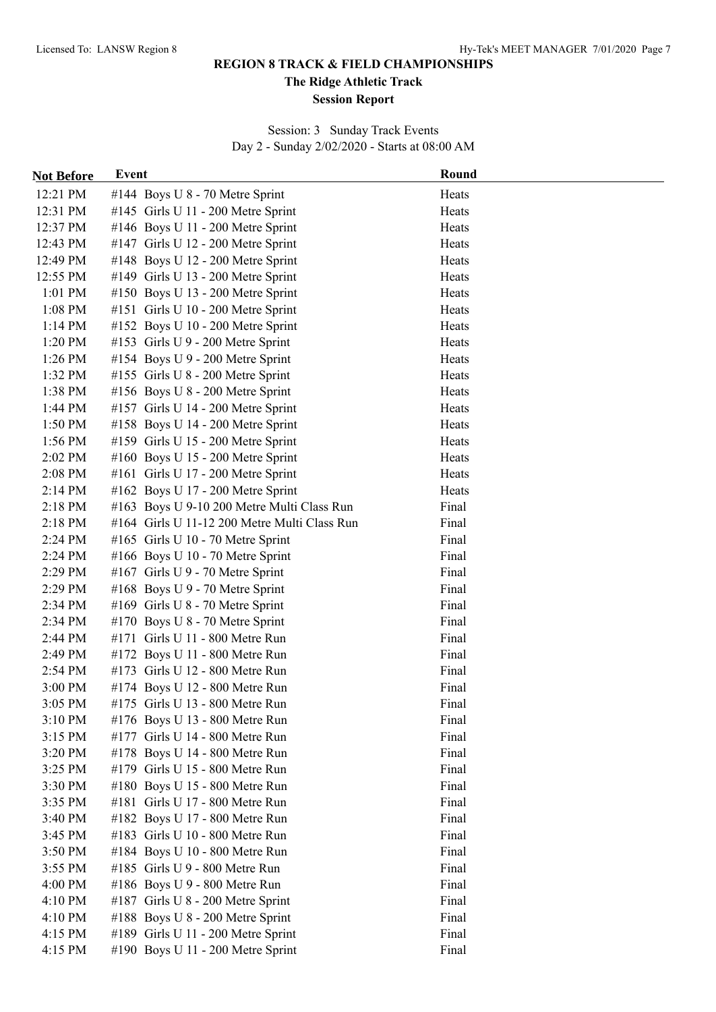**The Ridge Athletic Track**

#### **Session Report**

Session: 3 Sunday Track Events Day 2 - Sunday 2/02/2020 - Starts at 08:00 AM

| <b>Not Before</b> | Event                                        | Round |
|-------------------|----------------------------------------------|-------|
| 12:21 PM          | #144 Boys U 8 - 70 Metre Sprint              | Heats |
| 12:31 PM          | #145 Girls U 11 - 200 Metre Sprint           | Heats |
| 12:37 PM          | #146 Boys U 11 - 200 Metre Sprint            | Heats |
| 12:43 PM          | #147 Girls U 12 - 200 Metre Sprint           | Heats |
| 12:49 PM          | #148 Boys U 12 - 200 Metre Sprint            | Heats |
| 12:55 PM          | #149 Girls U 13 - 200 Metre Sprint           | Heats |
| $1:01$ PM         | #150 Boys U 13 - 200 Metre Sprint            | Heats |
| 1:08 PM           | #151 Girls U 10 - 200 Metre Sprint           | Heats |
| $1:14$ PM         | #152 Boys U 10 - 200 Metre Sprint            | Heats |
| 1:20 PM           | #153 Girls U 9 - 200 Metre Sprint            | Heats |
| 1:26 PM           | #154 Boys U 9 - 200 Metre Sprint             | Heats |
| 1:32 PM           | #155 Girls U 8 - 200 Metre Sprint            | Heats |
| 1:38 PM           | #156 Boys U 8 - 200 Metre Sprint             | Heats |
| 1:44 PM           | #157 Girls U 14 - 200 Metre Sprint           | Heats |
| 1:50 PM           | #158 Boys U 14 - 200 Metre Sprint            | Heats |
| 1:56 PM           | #159 Girls U 15 - 200 Metre Sprint           | Heats |
| 2:02 PM           | #160 Boys U 15 - 200 Metre Sprint            | Heats |
| 2:08 PM           | #161 Girls U 17 - 200 Metre Sprint           | Heats |
| $2:14$ PM         | #162 Boys U 17 - 200 Metre Sprint            | Heats |
| 2:18 PM           | #163 Boys U 9-10 200 Metre Multi Class Run   | Final |
| 2:18 PM           | #164 Girls U 11-12 200 Metre Multi Class Run | Final |
| 2:24 PM           | #165 Girls U 10 - 70 Metre Sprint            | Final |
| 2:24 PM           | #166 Boys U 10 - 70 Metre Sprint             | Final |
| 2:29 PM           | #167 Girls U 9 - 70 Metre Sprint             | Final |
| 2:29 PM           | #168 Boys U 9 - 70 Metre Sprint              | Final |
| 2:34 PM           | #169 Girls U 8 - 70 Metre Sprint             | Final |
| 2:34 PM           | #170 Boys U 8 - 70 Metre Sprint              | Final |
| 2:44 PM           | #171 Girls U 11 - 800 Metre Run              | Final |
| 2:49 PM           | #172 Boys U 11 - 800 Metre Run               | Final |
| 2:54 PM           | #173 Girls U 12 - 800 Metre Run              | Final |
| 3:00 PM           | #174 Boys U 12 - 800 Metre Run               | Final |
| 3:05 PM           | $\#175$ Girls U 13 - 800 Metre Run           | Final |
| 3:10 PM           | #176 Boys U 13 - 800 Metre Run               | Final |
| 3:15 PM           | #177 Girls U 14 - 800 Metre Run              | Final |
| 3:20 PM           | #178 Boys U 14 - 800 Metre Run               | Final |
| 3:25 PM           | #179 Girls U 15 - 800 Metre Run              | Final |
| 3:30 PM           | #180 Boys U 15 - 800 Metre Run               | Final |
| 3:35 PM           | #181 Girls U 17 - 800 Metre Run              | Final |
| 3:40 PM           | #182 Boys U 17 - 800 Metre Run               | Final |
| 3:45 PM           | #183 Girls U 10 - 800 Metre Run              | Final |
| 3:50 PM           | #184 Boys U 10 - 800 Metre Run               | Final |
| 3:55 PM           | #185 Girls U 9 - 800 Metre Run               | Final |
| 4:00 PM           | #186 Boys U 9 - 800 Metre Run                | Final |
| 4:10 PM           | #187 Girls U 8 - 200 Metre Sprint            | Final |
| 4:10 PM           | #188 Boys U 8 - 200 Metre Sprint             | Final |
| 4:15 PM           | #189 Girls U 11 - 200 Metre Sprint           | Final |
| 4:15 PM           | #190 Boys U 11 - 200 Metre Sprint            | Final |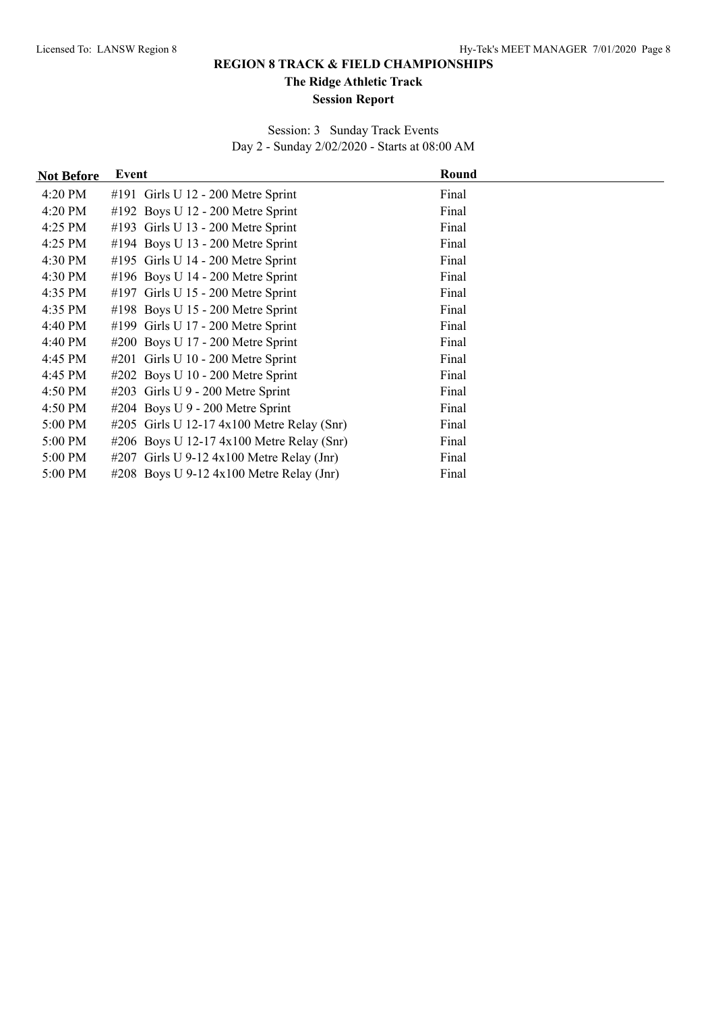**The Ridge Athletic Track**

#### **Session Report**

Session: 3 Sunday Track Events Day 2 - Sunday 2/02/2020 - Starts at 08:00 AM

| <b>Not Before</b> | Event                                        | Round |  |
|-------------------|----------------------------------------------|-------|--|
| 4:20 PM           | #191 Girls U 12 - 200 Metre Sprint           | Final |  |
| 4:20 PM           | #192 Boys U $12 - 200$ Metre Sprint          | Final |  |
| 4:25 PM           | #193 Girls U 13 - 200 Metre Sprint           | Final |  |
| 4:25 PM           | #194 Boys U 13 - 200 Metre Sprint            | Final |  |
| 4:30 PM           | #195 Girls U 14 - 200 Metre Sprint           | Final |  |
| 4:30 PM           | #196 Boys U $14 - 200$ Metre Sprint          | Final |  |
| 4:35 PM           | #197 Girls U 15 - 200 Metre Sprint           | Final |  |
| 4:35 PM           | #198 Boys U 15 - 200 Metre Sprint            | Final |  |
| 4:40 PM           | #199 Girls U 17 - 200 Metre Sprint           | Final |  |
| 4:40 PM           | #200 Boys U 17 - 200 Metre Sprint            | Final |  |
| 4:45 PM           | #201 Girls U 10 - 200 Metre Sprint           | Final |  |
| 4:45 PM           | #202 Boys U 10 - 200 Metre Sprint            | Final |  |
| 4:50 PM           | #203 Girls U 9 - 200 Metre Sprint            | Final |  |
| 4:50 PM           | #204 Boys U $9 - 200$ Metre Sprint           | Final |  |
| 5:00 PM           | #205 Girls U 12-17 $4x100$ Metre Relay (Snr) | Final |  |
| 5:00 PM           | #206 Boys U 12-17 $4x100$ Metre Relay (Snr)  | Final |  |
| 5:00 PM           | #207 Girls U 9-12 $4x100$ Metre Relay (Jnr)  | Final |  |
| 5:00 PM           | #208 Boys U 9-12 $4x100$ Metre Relay (Jnr)   | Final |  |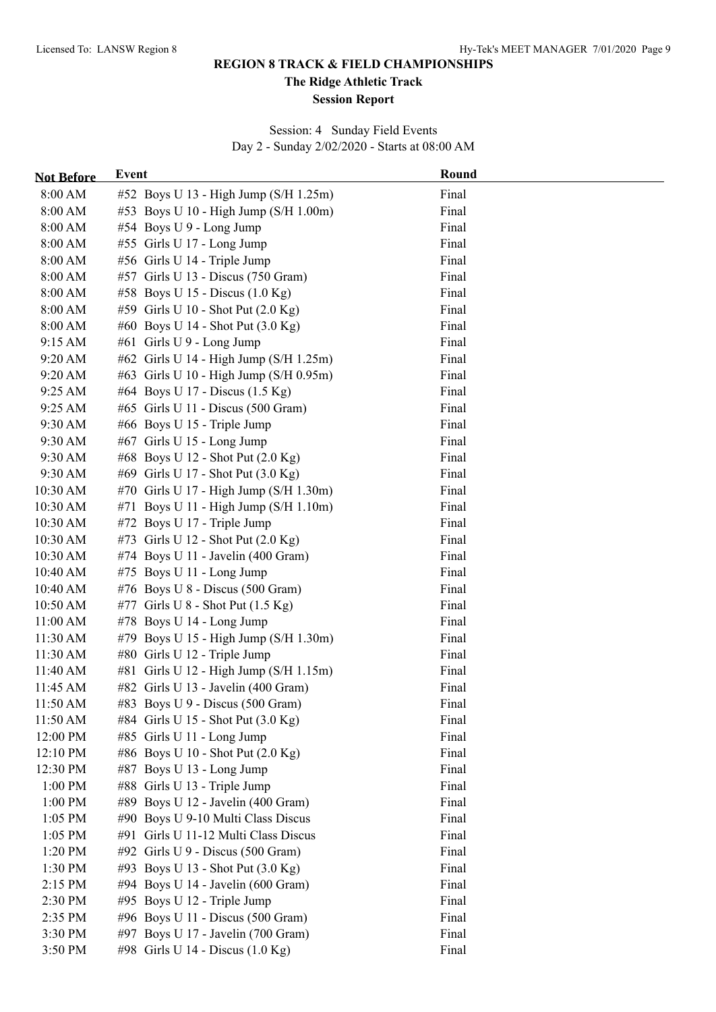**The Ridge Athletic Track**

#### **Session Report**

Session: 4 Sunday Field Events Day 2 - Sunday 2/02/2020 - Starts at 08:00 AM

| <b>Not Before</b> | <b>Event</b>                               | Round |
|-------------------|--------------------------------------------|-------|
| 8:00 AM           | #52 Boys U 13 - High Jump (S/H 1.25m)      | Final |
| 8:00 AM           | #53 Boys U 10 - High Jump (S/H 1.00m)      | Final |
| 8:00 AM           | #54 Boys U 9 - Long Jump                   | Final |
| 8:00 AM           | #55 Girls U 17 - Long Jump                 | Final |
| 8:00 AM           | #56 Girls U 14 - Triple Jump               | Final |
| 8:00 AM           | #57 Girls U 13 - Discus (750 Gram)         | Final |
| 8:00 AM           | #58 Boys U 15 - Discus $(1.0 \text{ Kg})$  | Final |
| 8:00 AM           | #59 Girls U 10 - Shot Put (2.0 Kg)         | Final |
| 8:00 AM           | #60 Boys U 14 - Shot Put (3.0 Kg)          | Final |
| 9:15 AM           | #61 Girls U 9 - Long Jump                  | Final |
| 9:20 AM           | #62 Girls U 14 - High Jump (S/H 1.25m)     | Final |
| 9:20 AM           | #63 Girls U 10 - High Jump (S/H 0.95m)     | Final |
| 9:25 AM           | #64 Boys U 17 - Discus (1.5 Kg)            | Final |
| 9:25 AM           | #65 Girls U 11 - Discus (500 Gram)         | Final |
| 9:30 AM           | #66 Boys U 15 - Triple Jump                | Final |
| 9:30 AM           | #67 Girls U 15 - Long Jump                 | Final |
| 9:30 AM           | #68 Boys U 12 - Shot Put (2.0 Kg)          | Final |
| 9:30 AM           | #69 Girls U 17 - Shot Put (3.0 Kg)         | Final |
| 10:30 AM          | #70 Girls U 17 - High Jump (S/H 1.30m)     | Final |
| 10:30 AM          | #71 Boys U 11 - High Jump ( $S/H 1.10m$ )  | Final |
| 10:30 AM          | #72 Boys U 17 - Triple Jump                | Final |
| 10:30 AM          | #73 Girls U 12 - Shot Put (2.0 Kg)         | Final |
| 10:30 AM          | #74 Boys U 11 - Javelin (400 Gram)         | Final |
| 10:40 AM          | #75 Boys U 11 - Long Jump                  | Final |
| 10:40 AM          | #76 Boys U $8$ - Discus (500 Gram)         | Final |
| 10:50 AM          | #77 Girls U $8$ - Shot Put (1.5 Kg)        | Final |
| 11:00 AM          | #78 Boys U 14 - Long Jump                  | Final |
| 11:30 AM          | #79 Boys U 15 - High Jump (S/H 1.30m)      | Final |
| 11:30 AM          | #80 Girls U 12 - Triple Jump               | Final |
| 11:40 AM          | #81 Girls U 12 - High Jump (S/H 1.15m)     | Final |
| 11:45 AM          | #82 Girls U 13 - Javelin (400 Gram)        | Final |
| 11:50 AM          | #83 Boys U 9 - Discus $(500 \text{ Gram})$ | Final |
| 11:50 AM          | #84 Girls U 15 - Shot Put (3.0 Kg)         | Final |
| 12:00 PM          | #85 Girls U 11 - Long Jump                 | Final |
| 12:10 PM          | #86 Boys U 10 - Shot Put (2.0 Kg)          | Final |
| 12:30 PM          | #87 Boys U 13 - Long Jump                  | Final |
| $1:00$ PM         | #88 Girls U 13 - Triple Jump               | Final |
| 1:00 PM           | #89 Boys U 12 - Javelin (400 Gram)         | Final |
| $1:05$ PM         | #90 Boys U 9-10 Multi Class Discus         | Final |
| 1:05 PM           | #91 Girls U 11-12 Multi Class Discus       | Final |
| 1:20 PM           | #92 Girls U 9 - Discus (500 Gram)          | Final |
| 1:30 PM           | #93 Boys U 13 - Shot Put (3.0 Kg)          | Final |
| 2:15 PM           | #94 Boys U 14 - Javelin (600 Gram)         | Final |
| 2:30 PM           | #95 Boys U 12 - Triple Jump                | Final |
| 2:35 PM           | #96 Boys U 11 - Discus (500 Gram)          | Final |
| 3:30 PM           | #97 Boys U 17 - Javelin (700 Gram)         | Final |
| 3:50 PM           | #98 Girls U 14 - Discus $(1.0 \text{ Kg})$ | Final |